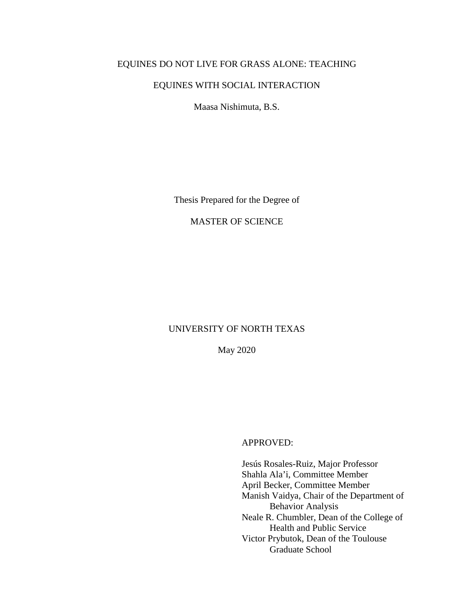# EQUINES DO NOT LIVE FOR GRASS ALONE: TEACHING

# EQUINES WITH SOCIAL INTERACTION

Maasa Nishimuta, B.S.

Thesis Prepared for the Degree of

# MASTER OF SCIENCE

# UNIVERSITY OF NORTH TEXAS

May 2020

# APPROVED:

Jesús Rosales-Ruiz, Major Professor Shahla Ala'i, Committee Member April Becker, Committee Member Manish Vaidya, Chair of the Department of Behavior Analysis Neale R. Chumbler, Dean of the College of Health and Public Service Victor Prybutok, Dean of the Toulouse Graduate School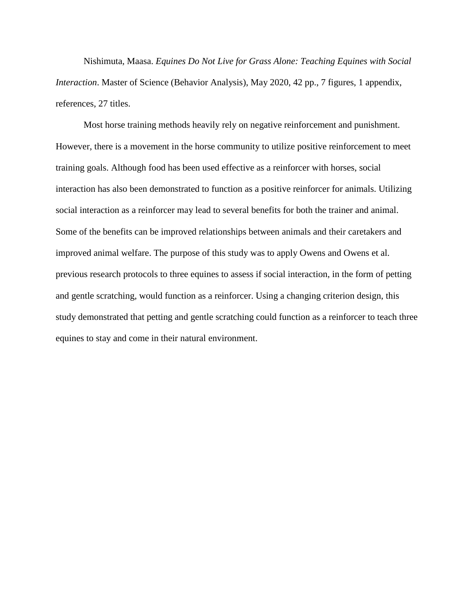Nishimuta, Maasa. *Equines Do Not Live for Grass Alone: Teaching Equines with Social Interaction*. Master of Science (Behavior Analysis), May 2020, 42 pp., 7 figures, 1 appendix, references, 27 titles.

Most horse training methods heavily rely on negative reinforcement and punishment. However, there is a movement in the horse community to utilize positive reinforcement to meet training goals. Although food has been used effective as a reinforcer with horses, social interaction has also been demonstrated to function as a positive reinforcer for animals. Utilizing social interaction as a reinforcer may lead to several benefits for both the trainer and animal. Some of the benefits can be improved relationships between animals and their caretakers and improved animal welfare. The purpose of this study was to apply Owens and Owens et al. previous research protocols to three equines to assess if social interaction, in the form of petting and gentle scratching, would function as a reinforcer. Using a changing criterion design, this study demonstrated that petting and gentle scratching could function as a reinforcer to teach three equines to stay and come in their natural environment.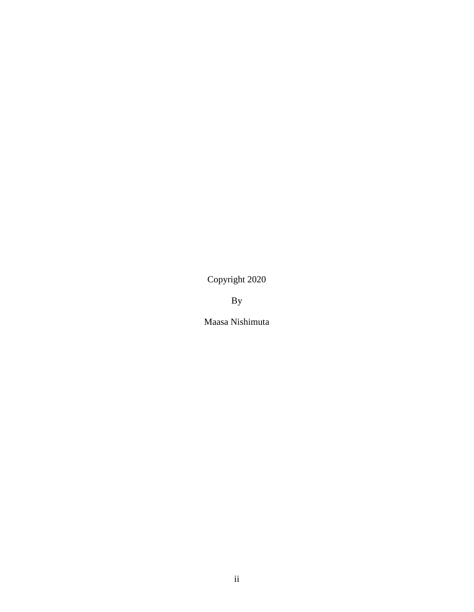Copyright 2020

By

Maasa Nishimuta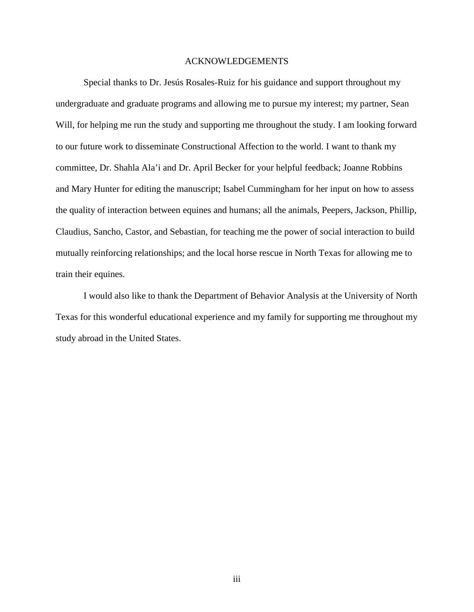## ACKNOWLEDGEMENTS

<span id="page-3-0"></span>Special thanks to Dr. Jesús Rosales-Ruiz for his guidance and support throughout my undergraduate and graduate programs and allowing me to pursue my interest; my partner, Sean Will, for helping me run the study and supporting me throughout the study. I am looking forward to our future work to disseminate Constructional Affection to the world. I want to thank my committee, Dr. Shahla Ala'i and Dr. April Becker for your helpful feedback; Joanne Robbins and Mary Hunter for editing the manuscript; Isabel Cummingham for her input on how to assess the quality of interaction between equines and humans; all the animals, Peepers, Jackson, Phillip, Claudius, Sancho, Castor, and Sebastian, for teaching me the power of social interaction to build mutually reinforcing relationships; and the local horse rescue in North Texas for allowing me to train their equines.

I would also like to thank the Department of Behavior Analysis at the University of North Texas for this wonderful educational experience and my family for supporting me throughout my study abroad in the United States.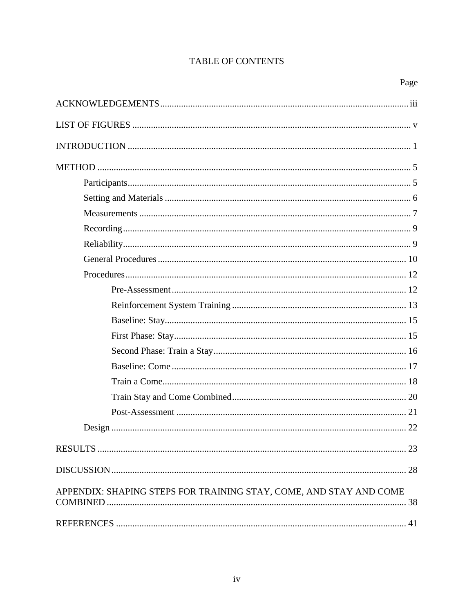# TABLE OF CONTENTS

| APPENDIX: SHAPING STEPS FOR TRAINING STAY, COME, AND STAY AND COME<br>38 |
|--------------------------------------------------------------------------|
|                                                                          |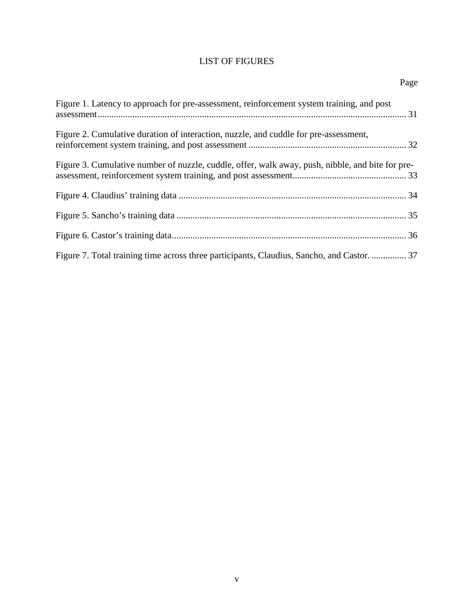# LIST OF FIGURES

<span id="page-5-0"></span>

| Page                                                                                             |
|--------------------------------------------------------------------------------------------------|
| Figure 1. Latency to approach for pre-assessment, reinforcement system training, and post        |
| Figure 2. Cumulative duration of interaction, nuzzle, and cuddle for pre-assessment,             |
| Figure 3. Cumulative number of nuzzle, cuddle, offer, walk away, push, nibble, and bite for pre- |
|                                                                                                  |
|                                                                                                  |
|                                                                                                  |
|                                                                                                  |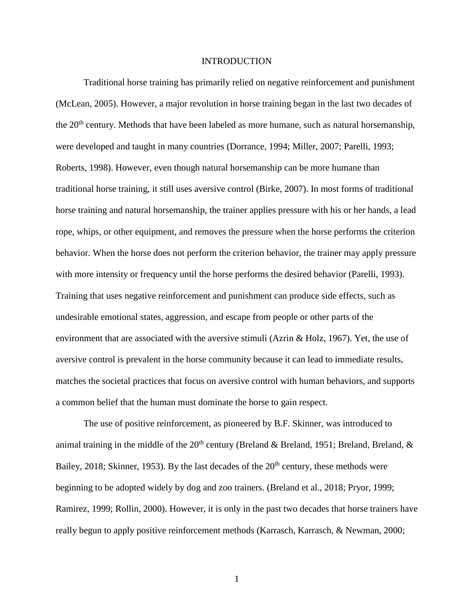## INTRODUCTION

<span id="page-6-0"></span>Traditional horse training has primarily relied on negative reinforcement and punishment (McLean, 2005). However, a major revolution in horse training began in the last two decades of the  $20<sup>th</sup>$  century. Methods that have been labeled as more humane, such as natural horsemanship, were developed and taught in many countries (Dorrance, 1994; Miller, 2007; Parelli, 1993; Roberts, 1998). However, even though natural horsemanship can be more humane than traditional horse training, it still uses aversive control (Birke, 2007). In most forms of traditional horse training and natural horsemanship, the trainer applies pressure with his or her hands, a lead rope, whips, or other equipment, and removes the pressure when the horse performs the criterion behavior. When the horse does not perform the criterion behavior, the trainer may apply pressure with more intensity or frequency until the horse performs the desired behavior (Parelli, 1993). Training that uses negative reinforcement and punishment can produce side effects, such as undesirable emotional states, aggression, and escape from people or other parts of the environment that are associated with the aversive stimuli (Azrin & Holz, 1967). Yet, the use of aversive control is prevalent in the horse community because it can lead to immediate results, matches the societal practices that focus on aversive control with human behaviors, and supports a common belief that the human must dominate the horse to gain respect.

The use of positive reinforcement, as pioneered by B.F. Skinner, was introduced to animal training in the middle of the  $20<sup>th</sup>$  century (Breland & Breland, 1951; Breland, Breland, & Bailey, 2018; Skinner, 1953). By the last decades of the  $20<sup>th</sup>$  century, these methods were beginning to be adopted widely by dog and zoo trainers. (Breland et al., 2018; Pryor, 1999; Ramirez, 1999; Rollin, 2000). However, it is only in the past two decades that horse trainers have really begun to apply positive reinforcement methods (Karrasch, Karrasch, & Newman, 2000;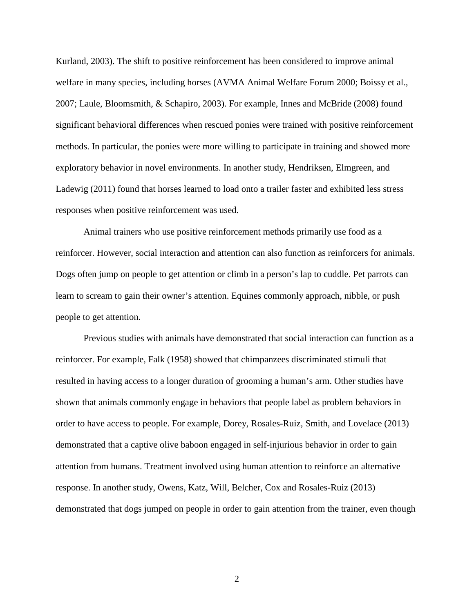Kurland, 2003). The shift to positive reinforcement has been considered to improve animal welfare in many species, including horses (AVMA Animal Welfare Forum 2000; Boissy et al., 2007; Laule, Bloomsmith, & Schapiro, 2003). For example, Innes and McBride (2008) found significant behavioral differences when rescued ponies were trained with positive reinforcement methods. In particular, the ponies were more willing to participate in training and showed more exploratory behavior in novel environments. In another study, Hendriksen, Elmgreen, and Ladewig (2011) found that horses learned to load onto a trailer faster and exhibited less stress responses when positive reinforcement was used.

Animal trainers who use positive reinforcement methods primarily use food as a reinforcer. However, social interaction and attention can also function as reinforcers for animals. Dogs often jump on people to get attention or climb in a person's lap to cuddle. Pet parrots can learn to scream to gain their owner's attention. Equines commonly approach, nibble, or push people to get attention.

Previous studies with animals have demonstrated that social interaction can function as a reinforcer. For example, Falk (1958) showed that chimpanzees discriminated stimuli that resulted in having access to a longer duration of grooming a human's arm. Other studies have shown that animals commonly engage in behaviors that people label as problem behaviors in order to have access to people. For example, Dorey, Rosales-Ruiz, Smith, and Lovelace (2013) demonstrated that a captive olive baboon engaged in self-injurious behavior in order to gain attention from humans. Treatment involved using human attention to reinforce an alternative response. In another study, Owens, Katz, Will, Belcher, Cox and Rosales-Ruiz (2013) demonstrated that dogs jumped on people in order to gain attention from the trainer, even though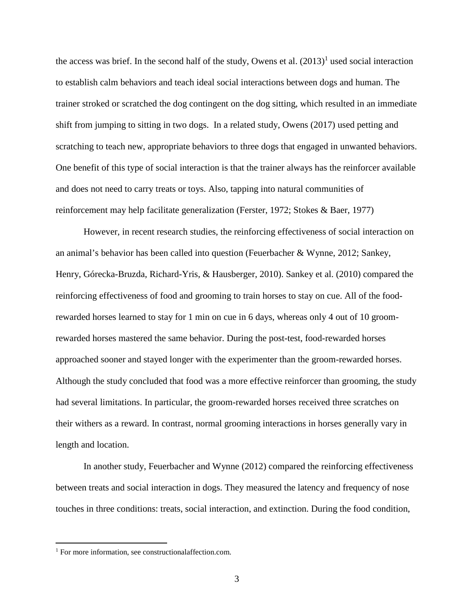the access was brief. In the second half of the study, Owens et al.  $(2013)^1$  used social interaction to establish calm behaviors and teach ideal social interactions between dogs and human. The trainer stroked or scratched the dog contingent on the dog sitting, which resulted in an immediate shift from jumping to sitting in two dogs. In a related study, Owens (2017) used petting and scratching to teach new, appropriate behaviors to three dogs that engaged in unwanted behaviors. One benefit of this type of social interaction is that the trainer always has the reinforcer available and does not need to carry treats or toys. Also, tapping into natural communities of reinforcement may help facilitate generalization (Ferster, 1972; Stokes & Baer, 1977)

However, in recent research studies, the reinforcing effectiveness of social interaction on an animal's behavior has been called into question (Feuerbacher & Wynne, 2012; Sankey, Henry, Górecka-Bruzda, Richard-Yris, & Hausberger, 2010). Sankey et al. (2010) compared the reinforcing effectiveness of food and grooming to train horses to stay on cue. All of the foodrewarded horses learned to stay for 1 min on cue in 6 days, whereas only 4 out of 10 groomrewarded horses mastered the same behavior. During the post-test, food-rewarded horses approached sooner and stayed longer with the experimenter than the groom-rewarded horses. Although the study concluded that food was a more effective reinforcer than grooming, the study had several limitations. In particular, the groom-rewarded horses received three scratches on their withers as a reward. In contrast, normal grooming interactions in horses generally vary in length and location.

In another study, Feuerbacher and Wynne (2012) compared the reinforcing effectiveness between treats and social interaction in dogs. They measured the latency and frequency of nose touches in three conditions: treats, social interaction, and extinction. During the food condition,

<sup>&</sup>lt;sup>1</sup> For more information, see constructionalaffection.com.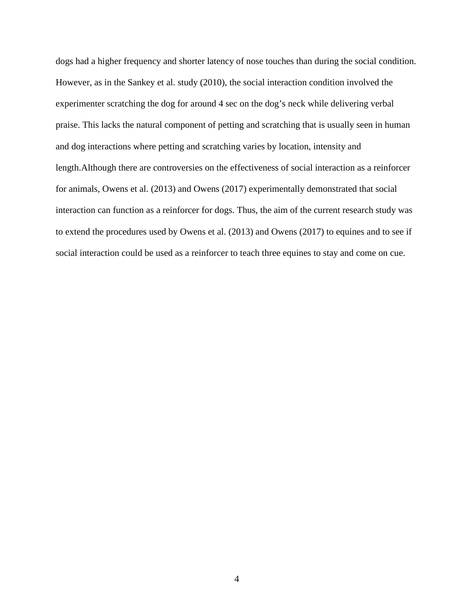dogs had a higher frequency and shorter latency of nose touches than during the social condition. However, as in the Sankey et al. study (2010), the social interaction condition involved the experimenter scratching the dog for around 4 sec on the dog's neck while delivering verbal praise. This lacks the natural component of petting and scratching that is usually seen in human and dog interactions where petting and scratching varies by location, intensity and length.Although there are controversies on the effectiveness of social interaction as a reinforcer for animals, Owens et al. (2013) and Owens (2017) experimentally demonstrated that social interaction can function as a reinforcer for dogs. Thus, the aim of the current research study was to extend the procedures used by Owens et al. (2013) and Owens (2017) to equines and to see if social interaction could be used as a reinforcer to teach three equines to stay and come on cue.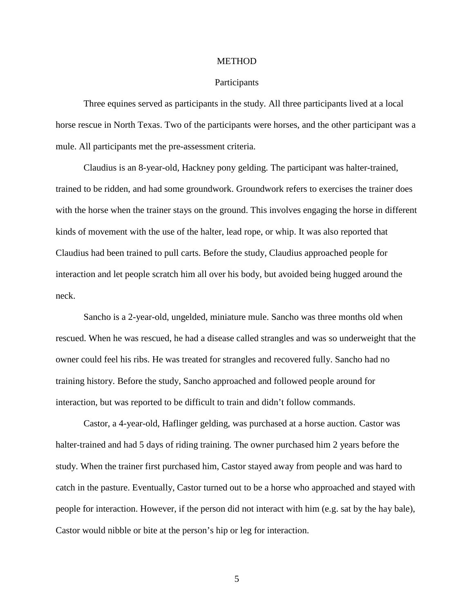#### **METHOD**

## **Participants**

<span id="page-10-1"></span><span id="page-10-0"></span>Three equines served as participants in the study. All three participants lived at a local horse rescue in North Texas. Two of the participants were horses, and the other participant was a mule. All participants met the pre-assessment criteria.

Claudius is an 8-year-old, Hackney pony gelding. The participant was halter-trained, trained to be ridden, and had some groundwork. Groundwork refers to exercises the trainer does with the horse when the trainer stays on the ground. This involves engaging the horse in different kinds of movement with the use of the halter, lead rope, or whip. It was also reported that Claudius had been trained to pull carts. Before the study, Claudius approached people for interaction and let people scratch him all over his body, but avoided being hugged around the neck.

Sancho is a 2-year-old, ungelded, miniature mule. Sancho was three months old when rescued. When he was rescued, he had a disease called strangles and was so underweight that the owner could feel his ribs. He was treated for strangles and recovered fully. Sancho had no training history. Before the study, Sancho approached and followed people around for interaction, but was reported to be difficult to train and didn't follow commands.

Castor, a 4-year-old, Haflinger gelding, was purchased at a horse auction. Castor was halter-trained and had 5 days of riding training. The owner purchased him 2 years before the study. When the trainer first purchased him, Castor stayed away from people and was hard to catch in the pasture. Eventually, Castor turned out to be a horse who approached and stayed with people for interaction. However, if the person did not interact with him (e.g. sat by the hay bale), Castor would nibble or bite at the person's hip or leg for interaction.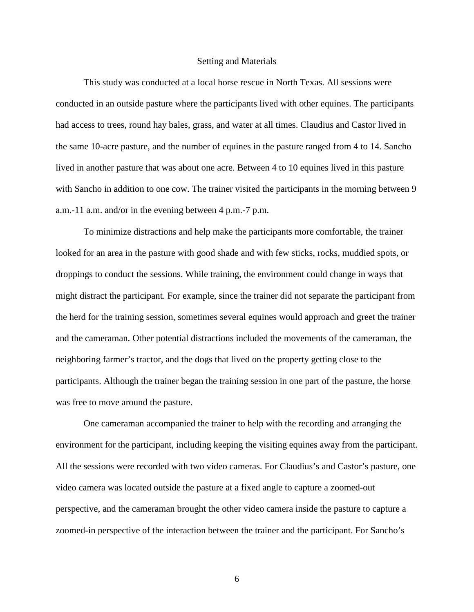## Setting and Materials

<span id="page-11-0"></span>This study was conducted at a local horse rescue in North Texas. All sessions were conducted in an outside pasture where the participants lived with other equines. The participants had access to trees, round hay bales, grass, and water at all times. Claudius and Castor lived in the same 10-acre pasture, and the number of equines in the pasture ranged from 4 to 14. Sancho lived in another pasture that was about one acre. Between 4 to 10 equines lived in this pasture with Sancho in addition to one cow. The trainer visited the participants in the morning between 9 a.m.-11 a.m. and/or in the evening between 4 p.m.-7 p.m.

To minimize distractions and help make the participants more comfortable, the trainer looked for an area in the pasture with good shade and with few sticks, rocks, muddied spots, or droppings to conduct the sessions. While training, the environment could change in ways that might distract the participant. For example, since the trainer did not separate the participant from the herd for the training session, sometimes several equines would approach and greet the trainer and the cameraman. Other potential distractions included the movements of the cameraman, the neighboring farmer's tractor, and the dogs that lived on the property getting close to the participants. Although the trainer began the training session in one part of the pasture, the horse was free to move around the pasture.

One cameraman accompanied the trainer to help with the recording and arranging the environment for the participant, including keeping the visiting equines away from the participant. All the sessions were recorded with two video cameras. For Claudius's and Castor's pasture, one video camera was located outside the pasture at a fixed angle to capture a zoomed-out perspective, and the cameraman brought the other video camera inside the pasture to capture a zoomed-in perspective of the interaction between the trainer and the participant. For Sancho's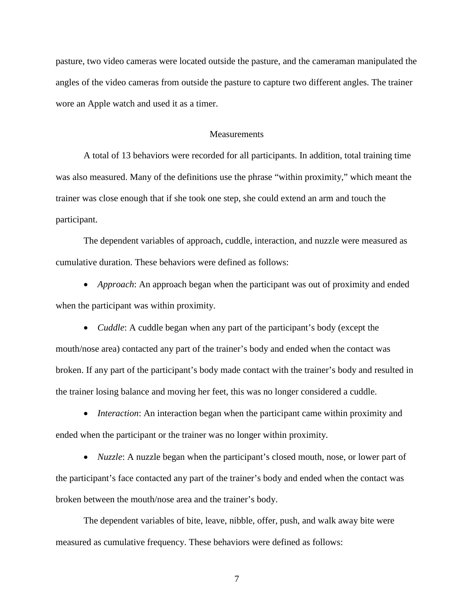pasture, two video cameras were located outside the pasture, and the cameraman manipulated the angles of the video cameras from outside the pasture to capture two different angles. The trainer wore an Apple watch and used it as a timer.

## **Measurements**

<span id="page-12-0"></span>A total of 13 behaviors were recorded for all participants. In addition, total training time was also measured. Many of the definitions use the phrase "within proximity," which meant the trainer was close enough that if she took one step, she could extend an arm and touch the participant.

The dependent variables of approach, cuddle, interaction, and nuzzle were measured as cumulative duration. These behaviors were defined as follows:

• *Approach*: An approach began when the participant was out of proximity and ended when the participant was within proximity.

• *Cuddle*: A cuddle began when any part of the participant's body (except the mouth/nose area) contacted any part of the trainer's body and ended when the contact was broken. If any part of the participant's body made contact with the trainer's body and resulted in the trainer losing balance and moving her feet, this was no longer considered a cuddle.

• *Interaction*: An interaction began when the participant came within proximity and ended when the participant or the trainer was no longer within proximity.

• *Nuzzle*: A nuzzle began when the participant's closed mouth, nose, or lower part of the participant's face contacted any part of the trainer's body and ended when the contact was broken between the mouth/nose area and the trainer's body.

The dependent variables of bite, leave, nibble, offer, push, and walk away bite were measured as cumulative frequency. These behaviors were defined as follows: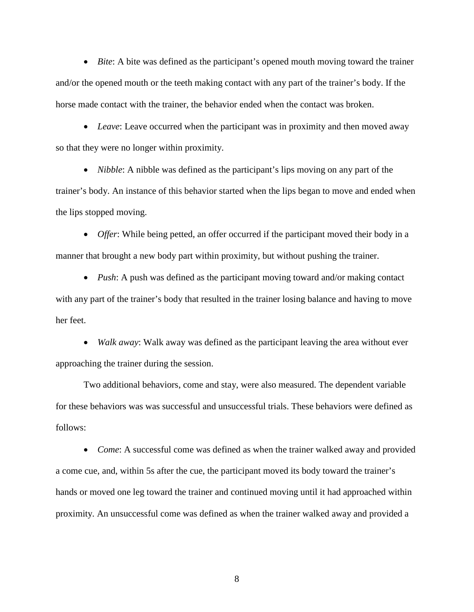• *Bite*: A bite was defined as the participant's opened mouth moving toward the trainer and/or the opened mouth or the teeth making contact with any part of the trainer's body. If the horse made contact with the trainer, the behavior ended when the contact was broken.

• *Leave*: Leave occurred when the participant was in proximity and then moved away so that they were no longer within proximity.

• *Nibble*: A nibble was defined as the participant's lips moving on any part of the trainer's body. An instance of this behavior started when the lips began to move and ended when the lips stopped moving.

• *Offer*: While being petted, an offer occurred if the participant moved their body in a manner that brought a new body part within proximity, but without pushing the trainer.

• *Push*: A push was defined as the participant moving toward and/or making contact with any part of the trainer's body that resulted in the trainer losing balance and having to move her feet.

• *Walk away*: Walk away was defined as the participant leaving the area without ever approaching the trainer during the session.

Two additional behaviors, come and stay, were also measured. The dependent variable for these behaviors was was successful and unsuccessful trials. These behaviors were defined as follows:

• *Come*: A successful come was defined as when the trainer walked away and provided a come cue, and, within 5s after the cue, the participant moved its body toward the trainer's hands or moved one leg toward the trainer and continued moving until it had approached within proximity. An unsuccessful come was defined as when the trainer walked away and provided a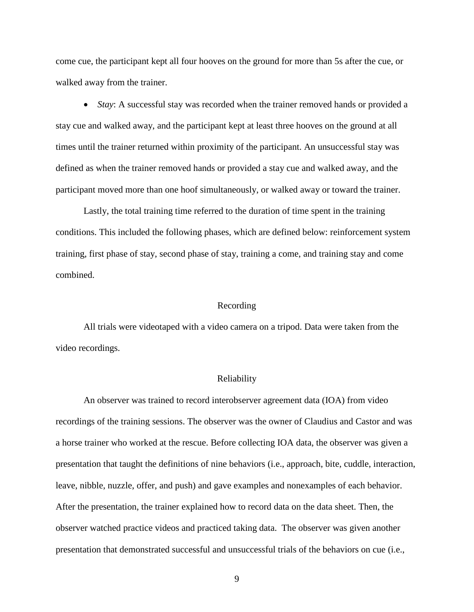come cue, the participant kept all four hooves on the ground for more than 5s after the cue, or walked away from the trainer.

• *Stay*: A successful stay was recorded when the trainer removed hands or provided a stay cue and walked away, and the participant kept at least three hooves on the ground at all times until the trainer returned within proximity of the participant. An unsuccessful stay was defined as when the trainer removed hands or provided a stay cue and walked away, and the participant moved more than one hoof simultaneously, or walked away or toward the trainer.

Lastly, the total training time referred to the duration of time spent in the training conditions. This included the following phases, which are defined below: reinforcement system training, first phase of stay, second phase of stay, training a come, and training stay and come combined.

# Recording

<span id="page-14-0"></span>All trials were videotaped with a video camera on a tripod. Data were taken from the video recordings.

## Reliability

<span id="page-14-1"></span>An observer was trained to record interobserver agreement data (IOA) from video recordings of the training sessions. The observer was the owner of Claudius and Castor and was a horse trainer who worked at the rescue. Before collecting IOA data, the observer was given a presentation that taught the definitions of nine behaviors (i.e., approach, bite, cuddle, interaction, leave, nibble, nuzzle, offer, and push) and gave examples and nonexamples of each behavior. After the presentation, the trainer explained how to record data on the data sheet. Then, the observer watched practice videos and practiced taking data. The observer was given another presentation that demonstrated successful and unsuccessful trials of the behaviors on cue (i.e.,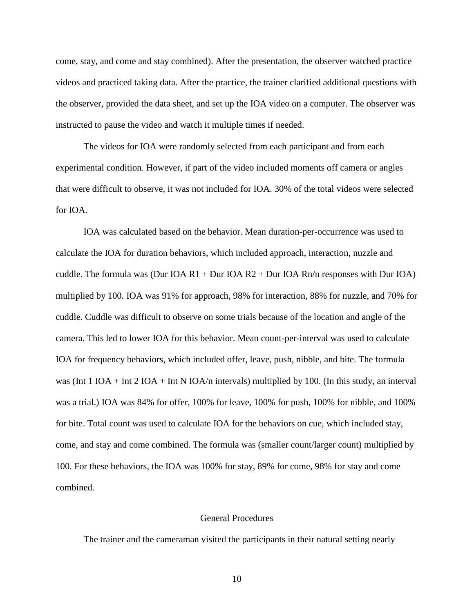come, stay, and come and stay combined). After the presentation, the observer watched practice videos and practiced taking data. After the practice, the trainer clarified additional questions with the observer, provided the data sheet, and set up the IOA video on a computer. The observer was instructed to pause the video and watch it multiple times if needed.

The videos for IOA were randomly selected from each participant and from each experimental condition. However, if part of the video included moments off camera or angles that were difficult to observe, it was not included for IOA. 30% of the total videos were selected for IOA.

IOA was calculated based on the behavior. Mean duration-per-occurrence was used to calculate the IOA for duration behaviors, which included approach, interaction, nuzzle and cuddle. The formula was (Dur IOA R1 + Dur IOA R2 + Dur IOA Rn/n responses with Dur IOA) multiplied by 100. IOA was 91% for approach, 98% for interaction, 88% for nuzzle, and 70% for cuddle. Cuddle was difficult to observe on some trials because of the location and angle of the camera. This led to lower IOA for this behavior. Mean count-per-interval was used to calculate IOA for frequency behaviors, which included offer, leave, push, nibble, and bite. The formula was (Int 1 IOA + Int 2 IOA + Int N IOA/n intervals) multiplied by 100. (In this study, an interval was a trial.) IOA was 84% for offer, 100% for leave, 100% for push, 100% for nibble, and 100% for bite. Total count was used to calculate IOA for the behaviors on cue, which included stay, come, and stay and come combined. The formula was (smaller count/larger count) multiplied by 100. For these behaviors, the IOA was 100% for stay, 89% for come, 98% for stay and come combined.

# General Procedures

<span id="page-15-0"></span>The trainer and the cameraman visited the participants in their natural setting nearly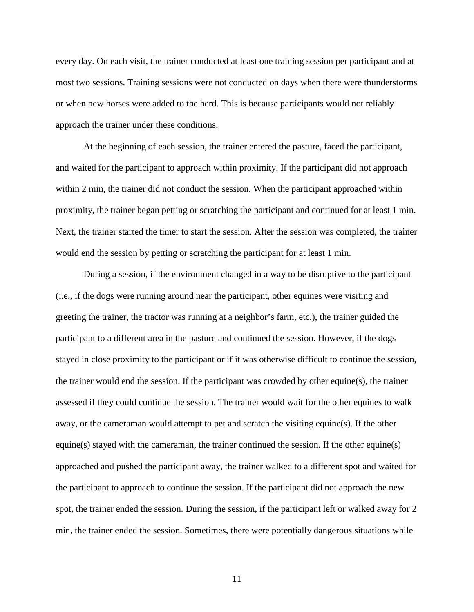every day. On each visit, the trainer conducted at least one training session per participant and at most two sessions. Training sessions were not conducted on days when there were thunderstorms or when new horses were added to the herd. This is because participants would not reliably approach the trainer under these conditions.

At the beginning of each session, the trainer entered the pasture, faced the participant, and waited for the participant to approach within proximity. If the participant did not approach within 2 min, the trainer did not conduct the session. When the participant approached within proximity, the trainer began petting or scratching the participant and continued for at least 1 min. Next, the trainer started the timer to start the session. After the session was completed, the trainer would end the session by petting or scratching the participant for at least 1 min.

During a session, if the environment changed in a way to be disruptive to the participant (i.e., if the dogs were running around near the participant, other equines were visiting and greeting the trainer, the tractor was running at a neighbor's farm, etc.), the trainer guided the participant to a different area in the pasture and continued the session. However, if the dogs stayed in close proximity to the participant or if it was otherwise difficult to continue the session, the trainer would end the session. If the participant was crowded by other equine(s), the trainer assessed if they could continue the session. The trainer would wait for the other equines to walk away, or the cameraman would attempt to pet and scratch the visiting equine(s). If the other equine(s) stayed with the cameraman, the trainer continued the session. If the other equine(s) approached and pushed the participant away, the trainer walked to a different spot and waited for the participant to approach to continue the session. If the participant did not approach the new spot, the trainer ended the session. During the session, if the participant left or walked away for 2 min, the trainer ended the session. Sometimes, there were potentially dangerous situations while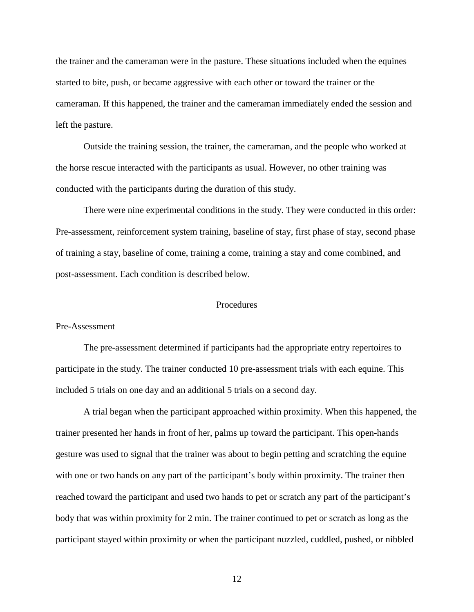the trainer and the cameraman were in the pasture. These situations included when the equines started to bite, push, or became aggressive with each other or toward the trainer or the cameraman. If this happened, the trainer and the cameraman immediately ended the session and left the pasture.

Outside the training session, the trainer, the cameraman, and the people who worked at the horse rescue interacted with the participants as usual. However, no other training was conducted with the participants during the duration of this study.

There were nine experimental conditions in the study. They were conducted in this order: Pre-assessment, reinforcement system training, baseline of stay, first phase of stay, second phase of training a stay, baseline of come, training a come, training a stay and come combined, and post-assessment. Each condition is described below.

### **Procedures**

#### <span id="page-17-1"></span><span id="page-17-0"></span>Pre-Assessment

The pre-assessment determined if participants had the appropriate entry repertoires to participate in the study. The trainer conducted 10 pre-assessment trials with each equine. This included 5 trials on one day and an additional 5 trials on a second day.

A trial began when the participant approached within proximity. When this happened, the trainer presented her hands in front of her, palms up toward the participant. This open-hands gesture was used to signal that the trainer was about to begin petting and scratching the equine with one or two hands on any part of the participant's body within proximity. The trainer then reached toward the participant and used two hands to pet or scratch any part of the participant's body that was within proximity for 2 min. The trainer continued to pet or scratch as long as the participant stayed within proximity or when the participant nuzzled, cuddled, pushed, or nibbled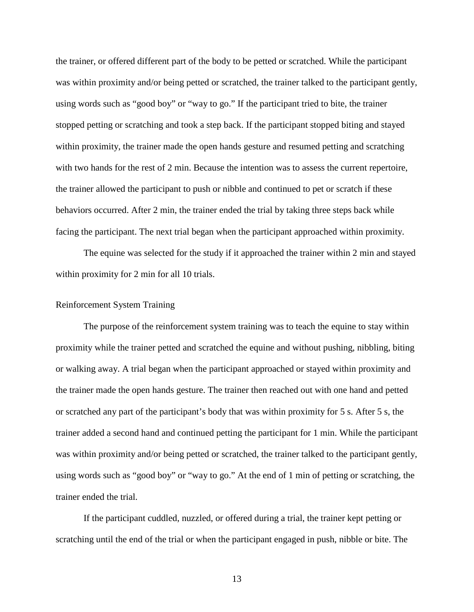the trainer, or offered different part of the body to be petted or scratched. While the participant was within proximity and/or being petted or scratched, the trainer talked to the participant gently, using words such as "good boy" or "way to go." If the participant tried to bite, the trainer stopped petting or scratching and took a step back. If the participant stopped biting and stayed within proximity, the trainer made the open hands gesture and resumed petting and scratching with two hands for the rest of 2 min. Because the intention was to assess the current repertoire, the trainer allowed the participant to push or nibble and continued to pet or scratch if these behaviors occurred. After 2 min, the trainer ended the trial by taking three steps back while facing the participant. The next trial began when the participant approached within proximity.

The equine was selected for the study if it approached the trainer within 2 min and stayed within proximity for 2 min for all 10 trials.

# <span id="page-18-0"></span>Reinforcement System Training

The purpose of the reinforcement system training was to teach the equine to stay within proximity while the trainer petted and scratched the equine and without pushing, nibbling, biting or walking away. A trial began when the participant approached or stayed within proximity and the trainer made the open hands gesture. The trainer then reached out with one hand and petted or scratched any part of the participant's body that was within proximity for 5 s. After 5 s, the trainer added a second hand and continued petting the participant for 1 min. While the participant was within proximity and/or being petted or scratched, the trainer talked to the participant gently, using words such as "good boy" or "way to go." At the end of 1 min of petting or scratching, the trainer ended the trial.

If the participant cuddled, nuzzled, or offered during a trial, the trainer kept petting or scratching until the end of the trial or when the participant engaged in push, nibble or bite. The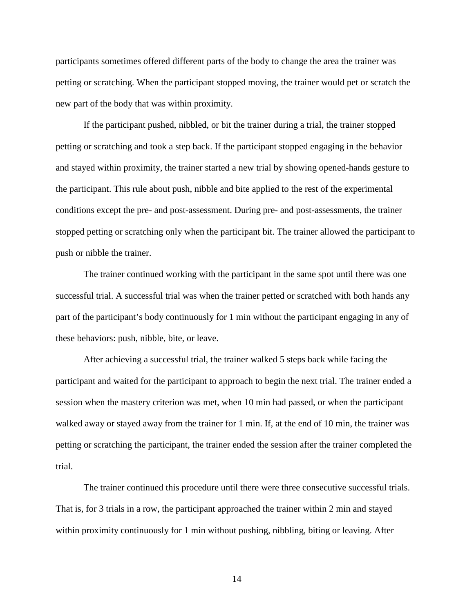participants sometimes offered different parts of the body to change the area the trainer was petting or scratching. When the participant stopped moving, the trainer would pet or scratch the new part of the body that was within proximity.

If the participant pushed, nibbled, or bit the trainer during a trial, the trainer stopped petting or scratching and took a step back. If the participant stopped engaging in the behavior and stayed within proximity, the trainer started a new trial by showing opened-hands gesture to the participant. This rule about push, nibble and bite applied to the rest of the experimental conditions except the pre- and post-assessment. During pre- and post-assessments, the trainer stopped petting or scratching only when the participant bit. The trainer allowed the participant to push or nibble the trainer.

The trainer continued working with the participant in the same spot until there was one successful trial. A successful trial was when the trainer petted or scratched with both hands any part of the participant's body continuously for 1 min without the participant engaging in any of these behaviors: push, nibble, bite, or leave.

After achieving a successful trial, the trainer walked 5 steps back while facing the participant and waited for the participant to approach to begin the next trial. The trainer ended a session when the mastery criterion was met, when 10 min had passed, or when the participant walked away or stayed away from the trainer for 1 min. If, at the end of 10 min, the trainer was petting or scratching the participant, the trainer ended the session after the trainer completed the trial.

The trainer continued this procedure until there were three consecutive successful trials. That is, for 3 trials in a row, the participant approached the trainer within 2 min and stayed within proximity continuously for 1 min without pushing, nibbling, biting or leaving. After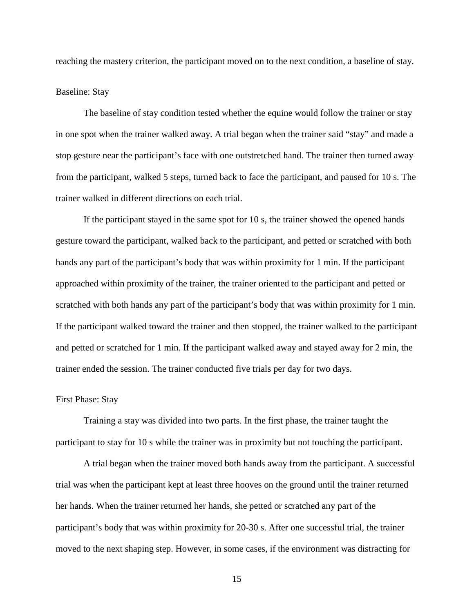reaching the mastery criterion, the participant moved on to the next condition, a baseline of stay.

# <span id="page-20-0"></span>Baseline: Stay

The baseline of stay condition tested whether the equine would follow the trainer or stay in one spot when the trainer walked away. A trial began when the trainer said "stay" and made a stop gesture near the participant's face with one outstretched hand. The trainer then turned away from the participant, walked 5 steps, turned back to face the participant, and paused for 10 s. The trainer walked in different directions on each trial.

If the participant stayed in the same spot for 10 s, the trainer showed the opened hands gesture toward the participant, walked back to the participant, and petted or scratched with both hands any part of the participant's body that was within proximity for 1 min. If the participant approached within proximity of the trainer, the trainer oriented to the participant and petted or scratched with both hands any part of the participant's body that was within proximity for 1 min. If the participant walked toward the trainer and then stopped, the trainer walked to the participant and petted or scratched for 1 min. If the participant walked away and stayed away for 2 min, the trainer ended the session. The trainer conducted five trials per day for two days.

# <span id="page-20-1"></span>First Phase: Stay

Training a stay was divided into two parts. In the first phase, the trainer taught the participant to stay for 10 s while the trainer was in proximity but not touching the participant.

A trial began when the trainer moved both hands away from the participant. A successful trial was when the participant kept at least three hooves on the ground until the trainer returned her hands. When the trainer returned her hands, she petted or scratched any part of the participant's body that was within proximity for 20-30 s. After one successful trial, the trainer moved to the next shaping step. However, in some cases, if the environment was distracting for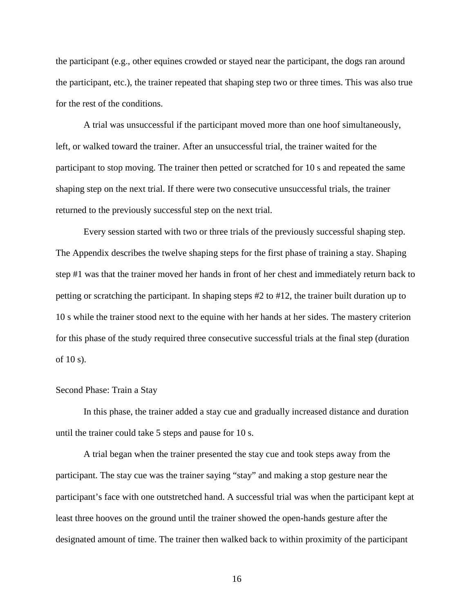the participant (e.g., other equines crowded or stayed near the participant, the dogs ran around the participant, etc.), the trainer repeated that shaping step two or three times. This was also true for the rest of the conditions.

A trial was unsuccessful if the participant moved more than one hoof simultaneously, left, or walked toward the trainer. After an unsuccessful trial, the trainer waited for the participant to stop moving. The trainer then petted or scratched for 10 s and repeated the same shaping step on the next trial. If there were two consecutive unsuccessful trials, the trainer returned to the previously successful step on the next trial.

Every session started with two or three trials of the previously successful shaping step. The Appendix describes the twelve shaping steps for the first phase of training a stay. Shaping step #1 was that the trainer moved her hands in front of her chest and immediately return back to petting or scratching the participant. In shaping steps #2 to #12, the trainer built duration up to 10 s while the trainer stood next to the equine with her hands at her sides. The mastery criterion for this phase of the study required three consecutive successful trials at the final step (duration of 10 s).

## <span id="page-21-0"></span>Second Phase: Train a Stay

In this phase, the trainer added a stay cue and gradually increased distance and duration until the trainer could take 5 steps and pause for 10 s.

A trial began when the trainer presented the stay cue and took steps away from the participant. The stay cue was the trainer saying "stay" and making a stop gesture near the participant's face with one outstretched hand. A successful trial was when the participant kept at least three hooves on the ground until the trainer showed the open-hands gesture after the designated amount of time. The trainer then walked back to within proximity of the participant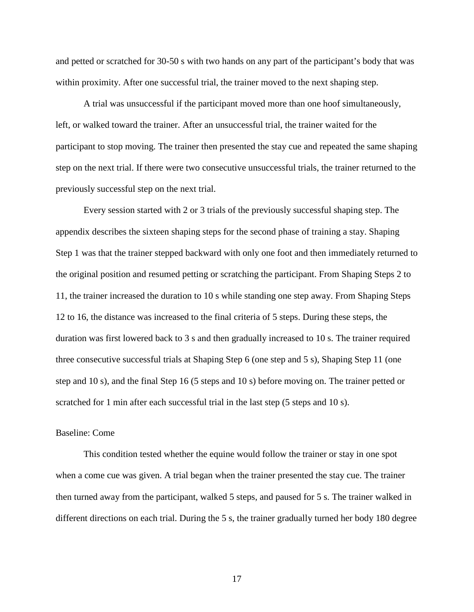and petted or scratched for 30-50 s with two hands on any part of the participant's body that was within proximity. After one successful trial, the trainer moved to the next shaping step.

A trial was unsuccessful if the participant moved more than one hoof simultaneously, left, or walked toward the trainer. After an unsuccessful trial, the trainer waited for the participant to stop moving. The trainer then presented the stay cue and repeated the same shaping step on the next trial. If there were two consecutive unsuccessful trials, the trainer returned to the previously successful step on the next trial.

Every session started with 2 or 3 trials of the previously successful shaping step. The appendix describes the sixteen shaping steps for the second phase of training a stay. Shaping Step 1 was that the trainer stepped backward with only one foot and then immediately returned to the original position and resumed petting or scratching the participant. From Shaping Steps 2 to 11, the trainer increased the duration to 10 s while standing one step away. From Shaping Steps 12 to 16, the distance was increased to the final criteria of 5 steps. During these steps, the duration was first lowered back to 3 s and then gradually increased to 10 s. The trainer required three consecutive successful trials at Shaping Step 6 (one step and 5 s), Shaping Step 11 (one step and 10 s), and the final Step 16 (5 steps and 10 s) before moving on. The trainer petted or scratched for 1 min after each successful trial in the last step (5 steps and 10 s).

# <span id="page-22-0"></span>Baseline: Come

This condition tested whether the equine would follow the trainer or stay in one spot when a come cue was given. A trial began when the trainer presented the stay cue. The trainer then turned away from the participant, walked 5 steps, and paused for 5 s. The trainer walked in different directions on each trial. During the 5 s, the trainer gradually turned her body 180 degree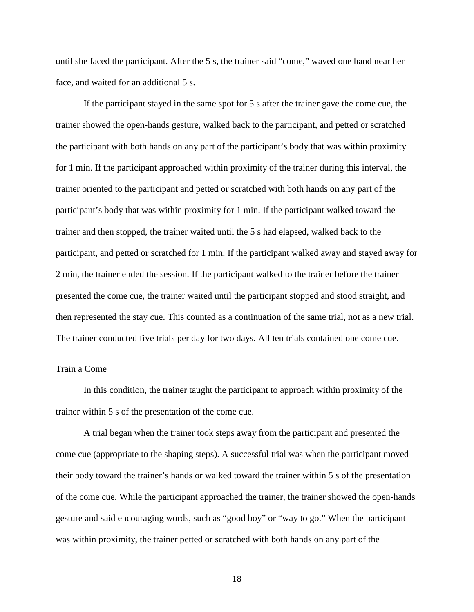until she faced the participant. After the 5 s, the trainer said "come," waved one hand near her face, and waited for an additional 5 s.

If the participant stayed in the same spot for 5 s after the trainer gave the come cue, the trainer showed the open-hands gesture, walked back to the participant, and petted or scratched the participant with both hands on any part of the participant's body that was within proximity for 1 min. If the participant approached within proximity of the trainer during this interval, the trainer oriented to the participant and petted or scratched with both hands on any part of the participant's body that was within proximity for 1 min. If the participant walked toward the trainer and then stopped, the trainer waited until the 5 s had elapsed, walked back to the participant, and petted or scratched for 1 min. If the participant walked away and stayed away for 2 min, the trainer ended the session. If the participant walked to the trainer before the trainer presented the come cue, the trainer waited until the participant stopped and stood straight, and then represented the stay cue. This counted as a continuation of the same trial, not as a new trial. The trainer conducted five trials per day for two days. All ten trials contained one come cue.

## <span id="page-23-0"></span>Train a Come

In this condition, the trainer taught the participant to approach within proximity of the trainer within 5 s of the presentation of the come cue.

A trial began when the trainer took steps away from the participant and presented the come cue (appropriate to the shaping steps). A successful trial was when the participant moved their body toward the trainer's hands or walked toward the trainer within 5 s of the presentation of the come cue. While the participant approached the trainer, the trainer showed the open-hands gesture and said encouraging words, such as "good boy" or "way to go." When the participant was within proximity, the trainer petted or scratched with both hands on any part of the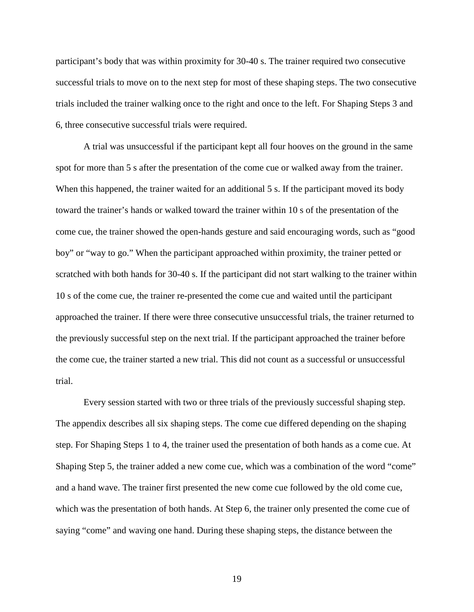participant's body that was within proximity for 30-40 s. The trainer required two consecutive successful trials to move on to the next step for most of these shaping steps. The two consecutive trials included the trainer walking once to the right and once to the left. For Shaping Steps 3 and 6, three consecutive successful trials were required.

A trial was unsuccessful if the participant kept all four hooves on the ground in the same spot for more than 5 s after the presentation of the come cue or walked away from the trainer. When this happened, the trainer waited for an additional 5 s. If the participant moved its body toward the trainer's hands or walked toward the trainer within 10 s of the presentation of the come cue, the trainer showed the open-hands gesture and said encouraging words, such as "good boy" or "way to go." When the participant approached within proximity, the trainer petted or scratched with both hands for 30-40 s. If the participant did not start walking to the trainer within 10 s of the come cue, the trainer re-presented the come cue and waited until the participant approached the trainer. If there were three consecutive unsuccessful trials, the trainer returned to the previously successful step on the next trial. If the participant approached the trainer before the come cue, the trainer started a new trial. This did not count as a successful or unsuccessful trial.

Every session started with two or three trials of the previously successful shaping step. The appendix describes all six shaping steps. The come cue differed depending on the shaping step. For Shaping Steps 1 to 4, the trainer used the presentation of both hands as a come cue. At Shaping Step 5, the trainer added a new come cue, which was a combination of the word "come" and a hand wave. The trainer first presented the new come cue followed by the old come cue, which was the presentation of both hands. At Step 6, the trainer only presented the come cue of saying "come" and waving one hand. During these shaping steps, the distance between the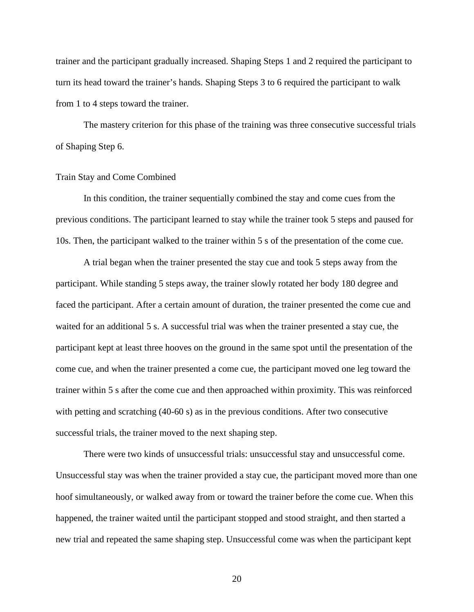trainer and the participant gradually increased. Shaping Steps 1 and 2 required the participant to turn its head toward the trainer's hands. Shaping Steps 3 to 6 required the participant to walk from 1 to 4 steps toward the trainer.

The mastery criterion for this phase of the training was three consecutive successful trials of Shaping Step 6.

#### <span id="page-25-0"></span>Train Stay and Come Combined

In this condition, the trainer sequentially combined the stay and come cues from the previous conditions. The participant learned to stay while the trainer took 5 steps and paused for 10s. Then, the participant walked to the trainer within 5 s of the presentation of the come cue.

A trial began when the trainer presented the stay cue and took 5 steps away from the participant. While standing 5 steps away, the trainer slowly rotated her body 180 degree and faced the participant. After a certain amount of duration, the trainer presented the come cue and waited for an additional 5 s. A successful trial was when the trainer presented a stay cue, the participant kept at least three hooves on the ground in the same spot until the presentation of the come cue, and when the trainer presented a come cue, the participant moved one leg toward the trainer within 5 s after the come cue and then approached within proximity. This was reinforced with petting and scratching (40-60 s) as in the previous conditions. After two consecutive successful trials, the trainer moved to the next shaping step.

There were two kinds of unsuccessful trials: unsuccessful stay and unsuccessful come. Unsuccessful stay was when the trainer provided a stay cue, the participant moved more than one hoof simultaneously, or walked away from or toward the trainer before the come cue. When this happened, the trainer waited until the participant stopped and stood straight, and then started a new trial and repeated the same shaping step. Unsuccessful come was when the participant kept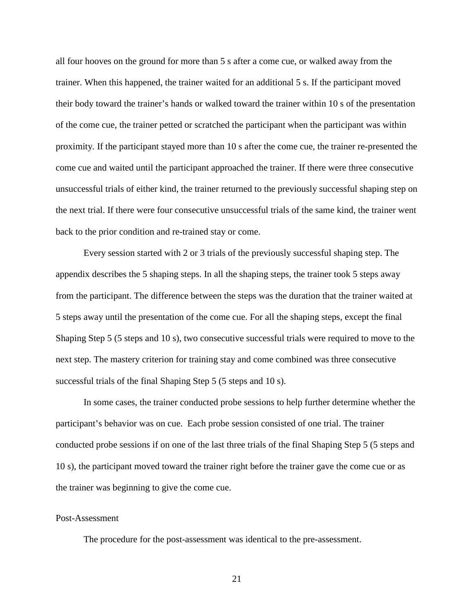all four hooves on the ground for more than 5 s after a come cue, or walked away from the trainer. When this happened, the trainer waited for an additional 5 s. If the participant moved their body toward the trainer's hands or walked toward the trainer within 10 s of the presentation of the come cue, the trainer petted or scratched the participant when the participant was within proximity. If the participant stayed more than 10 s after the come cue, the trainer re-presented the come cue and waited until the participant approached the trainer. If there were three consecutive unsuccessful trials of either kind, the trainer returned to the previously successful shaping step on the next trial. If there were four consecutive unsuccessful trials of the same kind, the trainer went back to the prior condition and re-trained stay or come.

Every session started with 2 or 3 trials of the previously successful shaping step. The appendix describes the 5 shaping steps. In all the shaping steps, the trainer took 5 steps away from the participant. The difference between the steps was the duration that the trainer waited at 5 steps away until the presentation of the come cue. For all the shaping steps, except the final Shaping Step 5 (5 steps and 10 s), two consecutive successful trials were required to move to the next step. The mastery criterion for training stay and come combined was three consecutive successful trials of the final Shaping Step 5 (5 steps and 10 s).

In some cases, the trainer conducted probe sessions to help further determine whether the participant's behavior was on cue. Each probe session consisted of one trial. The trainer conducted probe sessions if on one of the last three trials of the final Shaping Step 5 (5 steps and 10 s), the participant moved toward the trainer right before the trainer gave the come cue or as the trainer was beginning to give the come cue.

# <span id="page-26-0"></span>Post-Assessment

The procedure for the post-assessment was identical to the pre-assessment.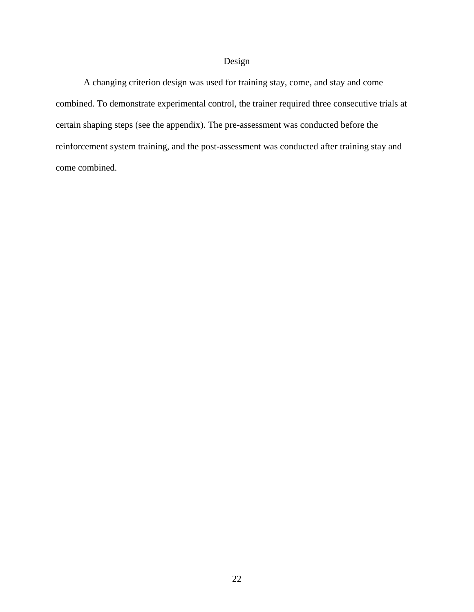# Design

<span id="page-27-0"></span>A changing criterion design was used for training stay, come, and stay and come combined. To demonstrate experimental control, the trainer required three consecutive trials at certain shaping steps (see the appendix). The pre-assessment was conducted before the reinforcement system training, and the post-assessment was conducted after training stay and come combined.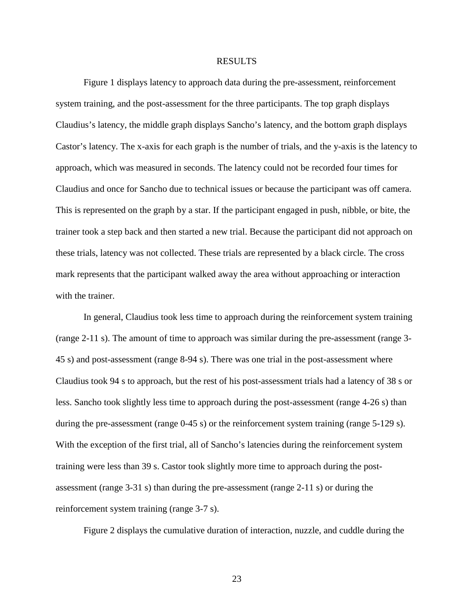#### RESULTS

<span id="page-28-0"></span>Figure 1 displays latency to approach data during the pre-assessment, reinforcement system training, and the post-assessment for the three participants. The top graph displays Claudius's latency, the middle graph displays Sancho's latency, and the bottom graph displays Castor's latency. The x-axis for each graph is the number of trials, and the y-axis is the latency to approach, which was measured in seconds. The latency could not be recorded four times for Claudius and once for Sancho due to technical issues or because the participant was off camera. This is represented on the graph by a star. If the participant engaged in push, nibble, or bite, the trainer took a step back and then started a new trial. Because the participant did not approach on these trials, latency was not collected. These trials are represented by a black circle. The cross mark represents that the participant walked away the area without approaching or interaction with the trainer.

In general, Claudius took less time to approach during the reinforcement system training (range 2-11 s). The amount of time to approach was similar during the pre-assessment (range 3- 45 s) and post-assessment (range 8-94 s). There was one trial in the post-assessment where Claudius took 94 s to approach, but the rest of his post-assessment trials had a latency of 38 s or less. Sancho took slightly less time to approach during the post-assessment (range 4-26 s) than during the pre-assessment (range 0-45 s) or the reinforcement system training (range 5-129 s). With the exception of the first trial, all of Sancho's latencies during the reinforcement system training were less than 39 s. Castor took slightly more time to approach during the postassessment (range 3-31 s) than during the pre-assessment (range 2-11 s) or during the reinforcement system training (range 3-7 s).

Figure 2 displays the cumulative duration of interaction, nuzzle, and cuddle during the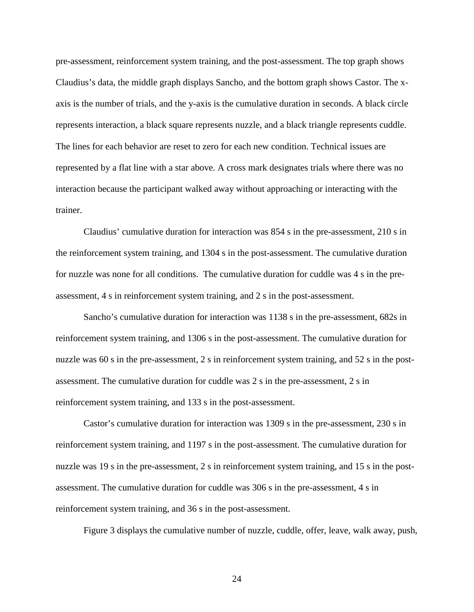pre-assessment, reinforcement system training, and the post-assessment. The top graph shows Claudius's data, the middle graph displays Sancho, and the bottom graph shows Castor. The xaxis is the number of trials, and the y-axis is the cumulative duration in seconds. A black circle represents interaction, a black square represents nuzzle, and a black triangle represents cuddle. The lines for each behavior are reset to zero for each new condition. Technical issues are represented by a flat line with a star above. A cross mark designates trials where there was no interaction because the participant walked away without approaching or interacting with the trainer.

Claudius' cumulative duration for interaction was 854 s in the pre-assessment, 210 s in the reinforcement system training, and 1304 s in the post-assessment. The cumulative duration for nuzzle was none for all conditions. The cumulative duration for cuddle was 4 s in the preassessment, 4 s in reinforcement system training, and 2 s in the post-assessment.

Sancho's cumulative duration for interaction was 1138 s in the pre-assessment, 682s in reinforcement system training, and 1306 s in the post-assessment. The cumulative duration for nuzzle was 60 s in the pre-assessment, 2 s in reinforcement system training, and 52 s in the postassessment. The cumulative duration for cuddle was 2 s in the pre-assessment, 2 s in reinforcement system training, and 133 s in the post-assessment.

Castor's cumulative duration for interaction was 1309 s in the pre-assessment, 230 s in reinforcement system training, and 1197 s in the post-assessment. The cumulative duration for nuzzle was 19 s in the pre-assessment, 2 s in reinforcement system training, and 15 s in the postassessment. The cumulative duration for cuddle was 306 s in the pre-assessment, 4 s in reinforcement system training, and 36 s in the post-assessment.

Figure 3 displays the cumulative number of nuzzle, cuddle, offer, leave, walk away, push,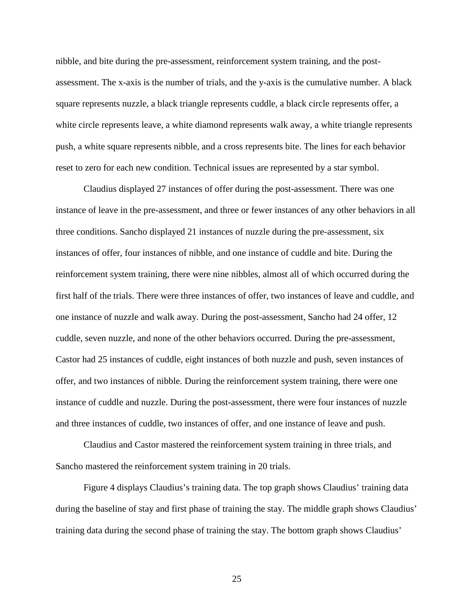nibble, and bite during the pre-assessment, reinforcement system training, and the postassessment. The x-axis is the number of trials, and the y-axis is the cumulative number. A black square represents nuzzle, a black triangle represents cuddle, a black circle represents offer, a white circle represents leave, a white diamond represents walk away, a white triangle represents push, a white square represents nibble, and a cross represents bite. The lines for each behavior reset to zero for each new condition. Technical issues are represented by a star symbol.

Claudius displayed 27 instances of offer during the post-assessment. There was one instance of leave in the pre-assessment, and three or fewer instances of any other behaviors in all three conditions. Sancho displayed 21 instances of nuzzle during the pre-assessment, six instances of offer, four instances of nibble, and one instance of cuddle and bite. During the reinforcement system training, there were nine nibbles, almost all of which occurred during the first half of the trials. There were three instances of offer, two instances of leave and cuddle, and one instance of nuzzle and walk away. During the post-assessment, Sancho had 24 offer, 12 cuddle, seven nuzzle, and none of the other behaviors occurred. During the pre-assessment, Castor had 25 instances of cuddle, eight instances of both nuzzle and push, seven instances of offer, and two instances of nibble. During the reinforcement system training, there were one instance of cuddle and nuzzle. During the post-assessment, there were four instances of nuzzle and three instances of cuddle, two instances of offer, and one instance of leave and push.

Claudius and Castor mastered the reinforcement system training in three trials, and Sancho mastered the reinforcement system training in 20 trials.

Figure 4 displays Claudius's training data. The top graph shows Claudius' training data during the baseline of stay and first phase of training the stay. The middle graph shows Claudius' training data during the second phase of training the stay. The bottom graph shows Claudius'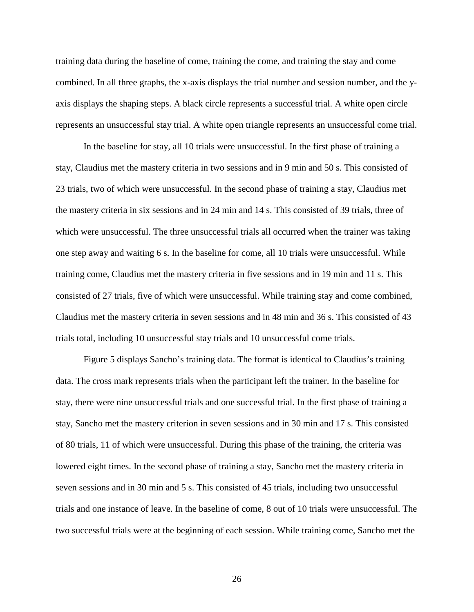training data during the baseline of come, training the come, and training the stay and come combined. In all three graphs, the x-axis displays the trial number and session number, and the yaxis displays the shaping steps. A black circle represents a successful trial. A white open circle represents an unsuccessful stay trial. A white open triangle represents an unsuccessful come trial.

In the baseline for stay, all 10 trials were unsuccessful. In the first phase of training a stay, Claudius met the mastery criteria in two sessions and in 9 min and 50 s. This consisted of 23 trials, two of which were unsuccessful. In the second phase of training a stay, Claudius met the mastery criteria in six sessions and in 24 min and 14 s. This consisted of 39 trials, three of which were unsuccessful. The three unsuccessful trials all occurred when the trainer was taking one step away and waiting 6 s. In the baseline for come, all 10 trials were unsuccessful. While training come, Claudius met the mastery criteria in five sessions and in 19 min and 11 s. This consisted of 27 trials, five of which were unsuccessful. While training stay and come combined, Claudius met the mastery criteria in seven sessions and in 48 min and 36 s. This consisted of 43 trials total, including 10 unsuccessful stay trials and 10 unsuccessful come trials.

Figure 5 displays Sancho's training data. The format is identical to Claudius's training data. The cross mark represents trials when the participant left the trainer. In the baseline for stay, there were nine unsuccessful trials and one successful trial. In the first phase of training a stay, Sancho met the mastery criterion in seven sessions and in 30 min and 17 s. This consisted of 80 trials, 11 of which were unsuccessful. During this phase of the training, the criteria was lowered eight times. In the second phase of training a stay, Sancho met the mastery criteria in seven sessions and in 30 min and 5 s. This consisted of 45 trials, including two unsuccessful trials and one instance of leave. In the baseline of come, 8 out of 10 trials were unsuccessful. The two successful trials were at the beginning of each session. While training come, Sancho met the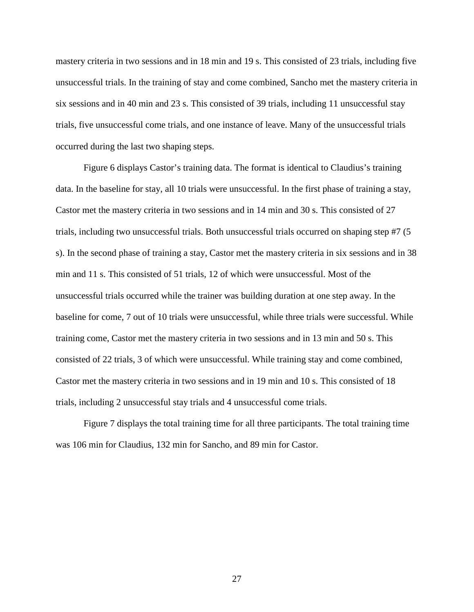mastery criteria in two sessions and in 18 min and 19 s. This consisted of 23 trials, including five unsuccessful trials. In the training of stay and come combined, Sancho met the mastery criteria in six sessions and in 40 min and 23 s. This consisted of 39 trials, including 11 unsuccessful stay trials, five unsuccessful come trials, and one instance of leave. Many of the unsuccessful trials occurred during the last two shaping steps.

Figure 6 displays Castor's training data. The format is identical to Claudius's training data. In the baseline for stay, all 10 trials were unsuccessful. In the first phase of training a stay, Castor met the mastery criteria in two sessions and in 14 min and 30 s. This consisted of 27 trials, including two unsuccessful trials. Both unsuccessful trials occurred on shaping step #7 (5 s). In the second phase of training a stay, Castor met the mastery criteria in six sessions and in 38 min and 11 s. This consisted of 51 trials, 12 of which were unsuccessful. Most of the unsuccessful trials occurred while the trainer was building duration at one step away. In the baseline for come, 7 out of 10 trials were unsuccessful, while three trials were successful. While training come, Castor met the mastery criteria in two sessions and in 13 min and 50 s. This consisted of 22 trials, 3 of which were unsuccessful. While training stay and come combined, Castor met the mastery criteria in two sessions and in 19 min and 10 s. This consisted of 18 trials, including 2 unsuccessful stay trials and 4 unsuccessful come trials.

Figure 7 displays the total training time for all three participants. The total training time was 106 min for Claudius, 132 min for Sancho, and 89 min for Castor.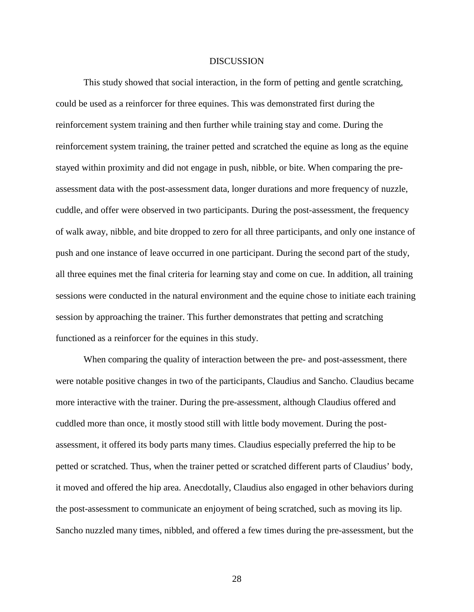## **DISCUSSION**

<span id="page-33-0"></span>This study showed that social interaction, in the form of petting and gentle scratching, could be used as a reinforcer for three equines. This was demonstrated first during the reinforcement system training and then further while training stay and come. During the reinforcement system training, the trainer petted and scratched the equine as long as the equine stayed within proximity and did not engage in push, nibble, or bite. When comparing the preassessment data with the post-assessment data, longer durations and more frequency of nuzzle, cuddle, and offer were observed in two participants. During the post-assessment, the frequency of walk away, nibble, and bite dropped to zero for all three participants, and only one instance of push and one instance of leave occurred in one participant. During the second part of the study, all three equines met the final criteria for learning stay and come on cue. In addition, all training sessions were conducted in the natural environment and the equine chose to initiate each training session by approaching the trainer. This further demonstrates that petting and scratching functioned as a reinforcer for the equines in this study.

When comparing the quality of interaction between the pre- and post-assessment, there were notable positive changes in two of the participants, Claudius and Sancho. Claudius became more interactive with the trainer. During the pre-assessment, although Claudius offered and cuddled more than once, it mostly stood still with little body movement. During the postassessment, it offered its body parts many times. Claudius especially preferred the hip to be petted or scratched. Thus, when the trainer petted or scratched different parts of Claudius' body, it moved and offered the hip area. Anecdotally, Claudius also engaged in other behaviors during the post-assessment to communicate an enjoyment of being scratched, such as moving its lip. Sancho nuzzled many times, nibbled, and offered a few times during the pre-assessment, but the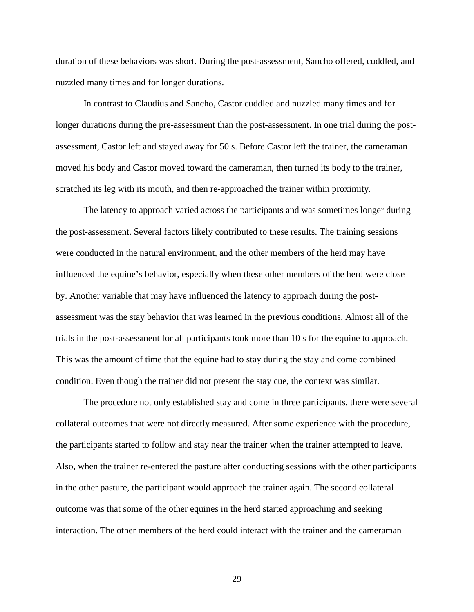duration of these behaviors was short. During the post-assessment, Sancho offered, cuddled, and nuzzled many times and for longer durations.

In contrast to Claudius and Sancho, Castor cuddled and nuzzled many times and for longer durations during the pre-assessment than the post-assessment. In one trial during the postassessment, Castor left and stayed away for 50 s. Before Castor left the trainer, the cameraman moved his body and Castor moved toward the cameraman, then turned its body to the trainer, scratched its leg with its mouth, and then re-approached the trainer within proximity.

The latency to approach varied across the participants and was sometimes longer during the post-assessment. Several factors likely contributed to these results. The training sessions were conducted in the natural environment, and the other members of the herd may have influenced the equine's behavior, especially when these other members of the herd were close by. Another variable that may have influenced the latency to approach during the postassessment was the stay behavior that was learned in the previous conditions. Almost all of the trials in the post-assessment for all participants took more than 10 s for the equine to approach. This was the amount of time that the equine had to stay during the stay and come combined condition. Even though the trainer did not present the stay cue, the context was similar.

The procedure not only established stay and come in three participants, there were several collateral outcomes that were not directly measured. After some experience with the procedure, the participants started to follow and stay near the trainer when the trainer attempted to leave. Also, when the trainer re-entered the pasture after conducting sessions with the other participants in the other pasture, the participant would approach the trainer again. The second collateral outcome was that some of the other equines in the herd started approaching and seeking interaction. The other members of the herd could interact with the trainer and the cameraman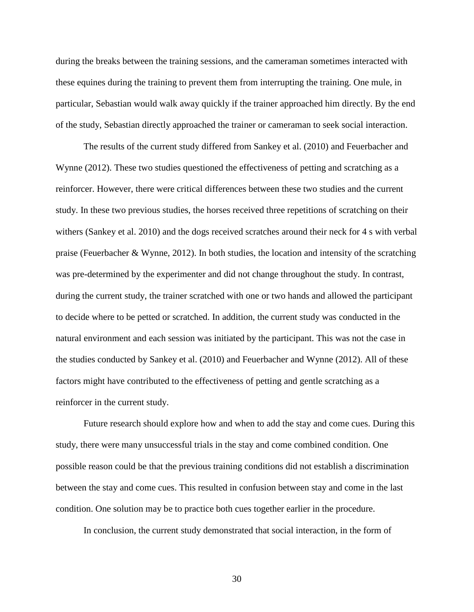during the breaks between the training sessions, and the cameraman sometimes interacted with these equines during the training to prevent them from interrupting the training. One mule, in particular, Sebastian would walk away quickly if the trainer approached him directly. By the end of the study, Sebastian directly approached the trainer or cameraman to seek social interaction.

The results of the current study differed from Sankey et al. (2010) and Feuerbacher and Wynne (2012). These two studies questioned the effectiveness of petting and scratching as a reinforcer. However, there were critical differences between these two studies and the current study. In these two previous studies, the horses received three repetitions of scratching on their withers (Sankey et al. 2010) and the dogs received scratches around their neck for 4 s with verbal praise (Feuerbacher & Wynne, 2012). In both studies, the location and intensity of the scratching was pre-determined by the experimenter and did not change throughout the study. In contrast, during the current study, the trainer scratched with one or two hands and allowed the participant to decide where to be petted or scratched. In addition, the current study was conducted in the natural environment and each session was initiated by the participant. This was not the case in the studies conducted by Sankey et al. (2010) and Feuerbacher and Wynne (2012). All of these factors might have contributed to the effectiveness of petting and gentle scratching as a reinforcer in the current study.

Future research should explore how and when to add the stay and come cues. During this study, there were many unsuccessful trials in the stay and come combined condition. One possible reason could be that the previous training conditions did not establish a discrimination between the stay and come cues. This resulted in confusion between stay and come in the last condition. One solution may be to practice both cues together earlier in the procedure.

In conclusion, the current study demonstrated that social interaction, in the form of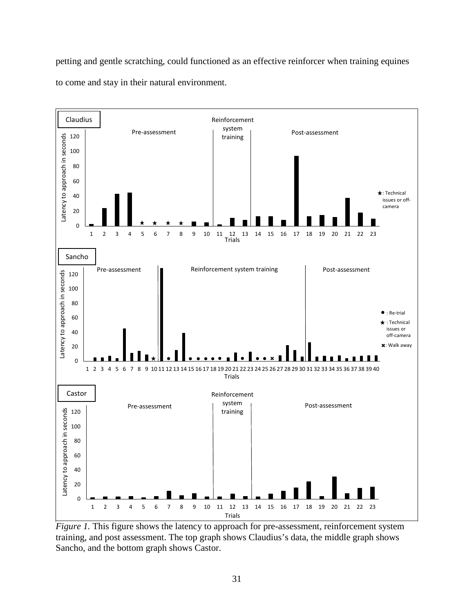petting and gentle scratching, could functioned as an effective reinforcer when training equines to come and stay in their natural environment.



<span id="page-36-0"></span>*Figure 1*. This figure shows the latency to approach for pre-assessment, reinforcement system training, and post assessment. The top graph shows Claudius's data, the middle graph shows Sancho, and the bottom graph shows Castor.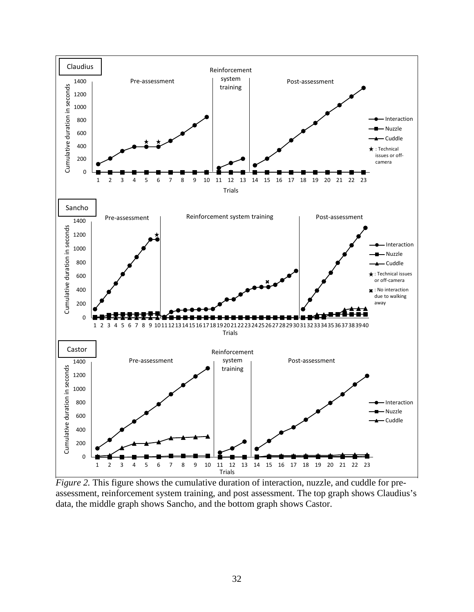

<span id="page-37-0"></span>*Figure 2.* This figure shows the cumulative duration of interaction, nuzzle, and cuddle for preassessment, reinforcement system training, and post assessment. The top graph shows Claudius's data, the middle graph shows Sancho, and the bottom graph shows Castor.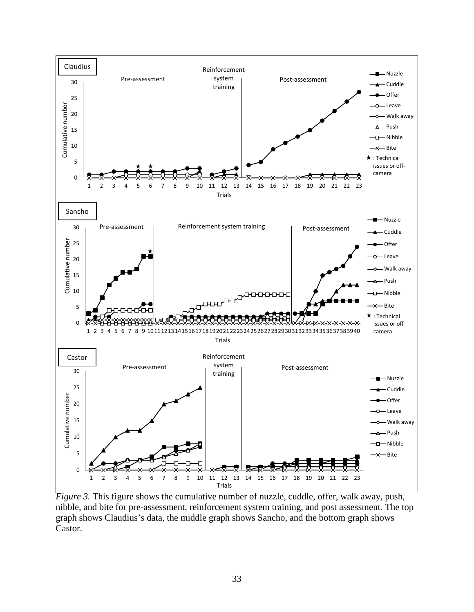

<span id="page-38-0"></span>*Figure 3.* This figure shows the cumulative number of nuzzle, cuddle, offer, walk away, push, nibble, and bite for pre-assessment, reinforcement system training, and post assessment. The top graph shows Claudius's data, the middle graph shows Sancho, and the bottom graph shows Castor.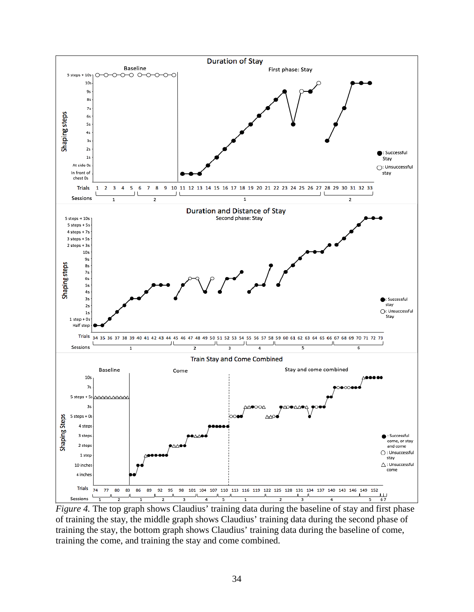

<span id="page-39-0"></span>*Figure 4.* The top graph shows Claudius' training data during the baseline of stay and first phase of training the stay, the middle graph shows Claudius' training data during the second phase of training the stay, the bottom graph shows Claudius' training data during the baseline of come, training the come, and training the stay and come combined.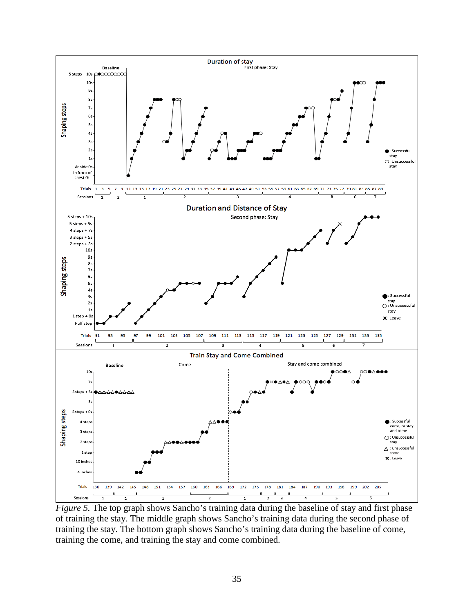

<span id="page-40-0"></span>*Figure 5*. The top graph shows Sancho's training data during the baseline of stay and first phase of training the stay. The middle graph shows Sancho's training data during the second phase of training the stay. The bottom graph shows Sancho's training data during the baseline of come, training the come, and training the stay and come combined.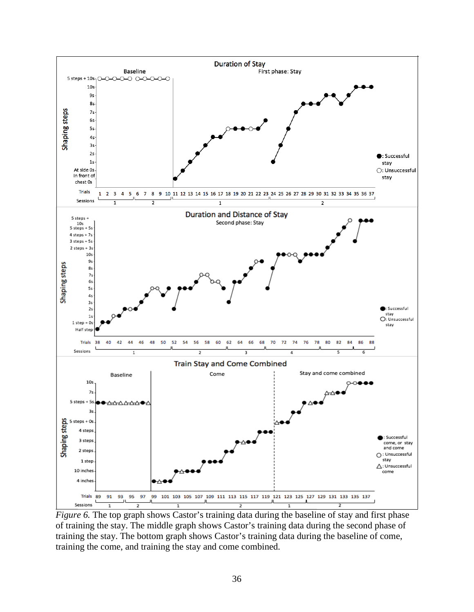

<span id="page-41-0"></span>*Figure 6.* The top graph shows Castor's training data during the baseline of stay and first phase of training the stay. The middle graph shows Castor's training data during the second phase of training the stay. The bottom graph shows Castor's training data during the baseline of come, training the come, and training the stay and come combined.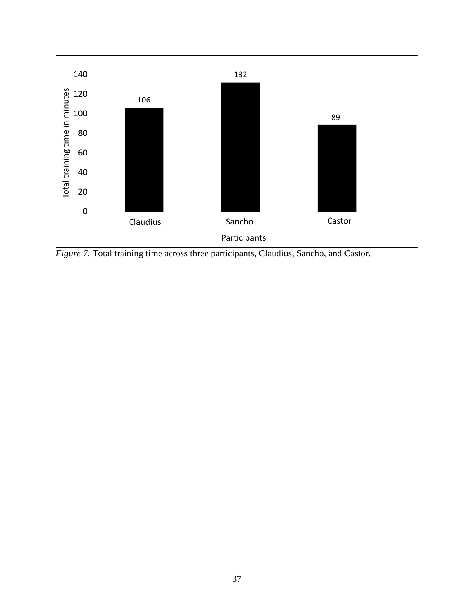

<span id="page-42-0"></span>*Figure 7.* Total training time across three participants, Claudius, Sancho, and Castor.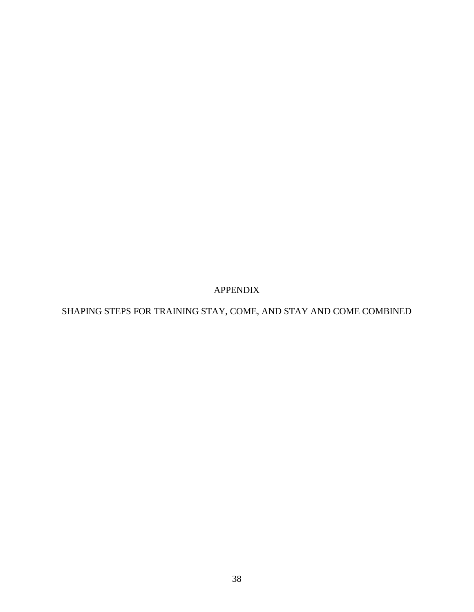APPENDIX

<span id="page-43-0"></span>SHAPING STEPS FOR TRAINING STAY, COME, AND STAY AND COME COMBINED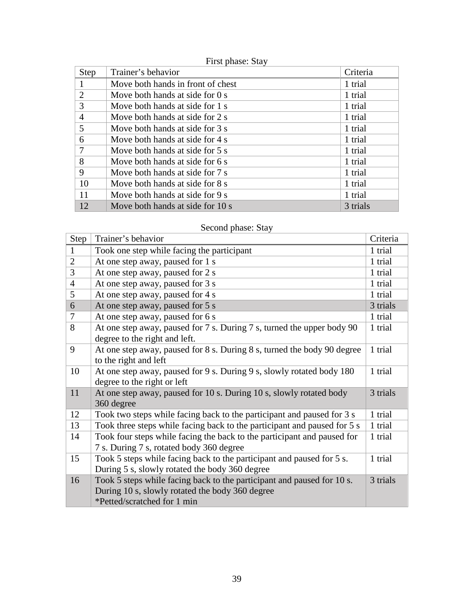|  | First phase: Stay |  |
|--|-------------------|--|
|--|-------------------|--|

| Step           | Trainer's behavior                | Criteria |
|----------------|-----------------------------------|----------|
| $\mathbf{1}$   | Move both hands in front of chest | 1 trial  |
| 2              | Move both hands at side for 0 s   | 1 trial  |
| 3              | Move both hands at side for 1 s   | 1 trial  |
| $\overline{4}$ | Move both hands at side for 2 s   | 1 trial  |
| 5              | Move both hands at side for 3 s   | 1 trial  |
| 6              | Move both hands at side for 4 s   | 1 trial  |
| 7              | Move both hands at side for 5 s   | 1 trial  |
| 8              | Move both hands at side for 6 s   | 1 trial  |
| 9              | Move both hands at side for 7 s   | 1 trial  |
| 10             | Move both hands at side for 8 s   | 1 trial  |
| 11             | Move both hands at side for 9 s   | 1 trial  |
| 12             | Move both hands at side for 10 s  | 3 trials |

# Second phase: Stay

| Step           | Trainer's behavior                                                       | Criteria |
|----------------|--------------------------------------------------------------------------|----------|
| $\mathbf{1}$   | Took one step while facing the participant                               | 1 trial  |
| $\overline{2}$ | At one step away, paused for 1 s                                         | 1 trial  |
| 3              | At one step away, paused for 2 s                                         | 1 trial  |
| $\overline{4}$ | At one step away, paused for 3 s                                         | 1 trial  |
| 5              | At one step away, paused for 4 s                                         | 1 trial  |
| 6              | At one step away, paused for 5 s                                         | 3 trials |
| $\tau$         | At one step away, paused for 6 s                                         | 1 trial  |
| 8              | At one step away, paused for 7 s. During 7 s, turned the upper body 90   | 1 trial  |
|                | degree to the right and left.                                            |          |
| 9              | At one step away, paused for 8 s. During 8 s, turned the body 90 degree  | 1 trial  |
|                | to the right and left                                                    |          |
| 10             | At one step away, paused for 9 s. During 9 s, slowly rotated body 180    | 1 trial  |
|                | degree to the right or left                                              |          |
| 11             | At one step away, paused for 10 s. During 10 s, slowly rotated body      | 3 trials |
|                | 360 degree                                                               |          |
| 12             | Took two steps while facing back to the participant and paused for 3 s   | 1 trial  |
| 13             | Took three steps while facing back to the participant and paused for 5 s | 1 trial  |
| 14             | Took four steps while facing the back to the participant and paused for  | 1 trial  |
|                | 7 s. During 7 s, rotated body 360 degree                                 |          |
| 15             | Took 5 steps while facing back to the participant and paused for 5 s.    | 1 trial  |
|                | During 5 s, slowly rotated the body 360 degree                           |          |
| 16             | Took 5 steps while facing back to the participant and paused for 10 s.   | 3 trials |
|                | During 10 s, slowly rotated the body 360 degree                          |          |
|                | *Petted/scratched for 1 min                                              |          |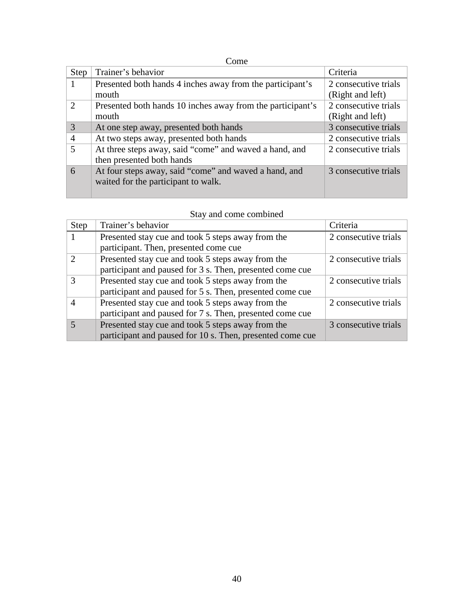# Come

| Step                        | Trainer's behavior                                         | Criteria             |
|-----------------------------|------------------------------------------------------------|----------------------|
|                             | Presented both hands 4 inches away from the participant's  | 2 consecutive trials |
|                             | mouth                                                      | (Right and left)     |
| $\mathcal{D}_{\mathcal{L}}$ | Presented both hands 10 inches away from the participant's | 2 consecutive trials |
|                             | mouth                                                      | (Right and left)     |
| 3                           | At one step away, presented both hands                     | 3 consecutive trials |
| $\overline{A}$              | At two steps away, presented both hands                    | 2 consecutive trials |
| $\overline{\phantom{1}}$    | At three steps away, said "come" and waved a hand, and     | 2 consecutive trials |
|                             | then presented both hands                                  |                      |
| 6                           | At four steps away, said "come" and waved a hand, and      | 3 consecutive trials |
|                             | waited for the participant to walk.                        |                      |
|                             |                                                            |                      |

# Stay and come combined

| <b>Step</b>   | Trainer's behavior                                        | Criteria             |
|---------------|-----------------------------------------------------------|----------------------|
|               | Presented stay cue and took 5 steps away from the         | 2 consecutive trials |
|               | participant. Then, presented come cue                     |                      |
| $\mathcal{D}$ | Presented stay cue and took 5 steps away from the         | 2 consecutive trials |
|               | participant and paused for 3 s. Then, presented come cue  |                      |
| $\mathcal{R}$ | Presented stay cue and took 5 steps away from the         | 2 consecutive trials |
|               | participant and paused for 5 s. Then, presented come cue  |                      |
|               | Presented stay cue and took 5 steps away from the         | 2 consecutive trials |
|               | participant and paused for 7 s. Then, presented come cue  |                      |
|               | Presented stay cue and took 5 steps away from the         | 3 consecutive trials |
|               | participant and paused for 10 s. Then, presented come cue |                      |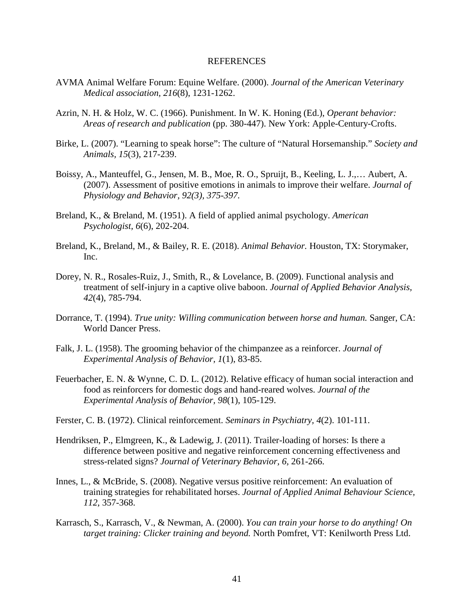## REFERENCES

- <span id="page-46-0"></span>AVMA Animal Welfare Forum: Equine Welfare. (2000). *Journal of the American Veterinary Medical association, 216*(8), 1231-1262.
- Azrin, N. H. & Holz, W. C. (1966). Punishment. In W. K. Honing (Ed.), *Operant behavior: Areas of research and publication* (pp. 380-447). New York: Apple-Century-Crofts.
- Birke, L. (2007). "Learning to speak horse": The culture of "Natural Horsemanship." *Society and Animals, 15*(3), 217-239.
- Boissy, A., Manteuffel, G., Jensen, M. B., Moe, R. O., Spruijt, B., Keeling, L. J.,… Aubert, A. (2007). Assessment of positive emotions in animals to improve their welfare. *Journal of Physiology and Behavior, 92(3), 375-397.*
- Breland, K., & Breland, M. (1951). A field of applied animal psychology. *American Psychologist, 6*(6), 202-204.
- Breland, K., Breland, M., & Bailey, R. E. (2018). *Animal Behavior.* Houston, TX: Storymaker, Inc.
- Dorey, N. R., Rosales-Ruiz, J., Smith, R., & Lovelance, B. (2009). Functional analysis and treatment of self-injury in a captive olive baboon. *Journal of Applied Behavior Analysis, 42*(4), 785-794.
- Dorrance, T. (1994). *True unity: Willing communication between horse and human.* Sanger, CA: World Dancer Press.
- Falk, J. L. (1958). The grooming behavior of the chimpanzee as a reinforcer. *Journal of Experimental Analysis of Behavior, 1*(1), 83-85.
- Feuerbacher, E. N. & Wynne, C. D. L. (2012). Relative efficacy of human social interaction and food as reinforcers for domestic dogs and hand-reared wolves. *Journal of the Experimental Analysis of Behavior, 98*(1), 105-129.
- Ferster, C. B. (1972). Clinical reinforcement. *Seminars in Psychiatry, 4*(2). 101-111.
- Hendriksen, P., Elmgreen, K., & Ladewig, J. (2011). Trailer-loading of horses: Is there a difference between positive and negative reinforcement concerning effectiveness and stress-related signs? *Journal of Veterinary Behavior, 6,* 261-266.
- Innes, L., & McBride, S. (2008). Negative versus positive reinforcement: An evaluation of training strategies for rehabilitated horses. *Journal of Applied Animal Behaviour Science, 112*, 357-368.
- Karrasch, S., Karrasch, V., & Newman, A. (2000). *You can train your horse to do anything! On target training: Clicker training and beyond.* North Pomfret, VT: Kenilworth Press Ltd.